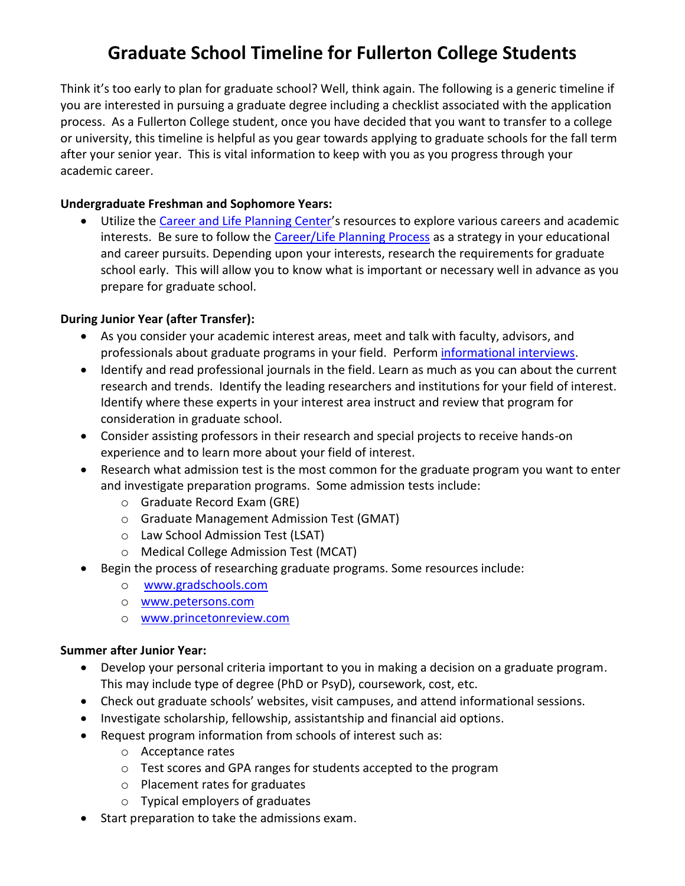# **Graduate School Timeline for Fullerton College Students**

Think it's too early to plan for graduate school? Well, think again. The following is a generic timeline if you are interested in pursuing a graduate degree including a checklist associated with the application process. As a Fullerton College student, once you have decided that you want to transfer to a college or university, this timeline is helpful as you gear towards applying to graduate schools for the fall term after your senior year. This is vital information to keep with you as you progress through your academic career.

### **Undergraduate Freshman and Sophomore Years:**

 Utilize the [Career and Life Planning Center](http://careercenter.fullcoll.edu/)'s resources to explore various careers and academic interests. Be sure to follow the [Career/Life Planning Process](http://careercenter.fullcoll.edu/about.html) as a strategy in your educational and career pursuits. Depending upon your interests, research the requirements for graduate school early. This will allow you to know what is important or necessary well in advance as you prepare for graduate school.

### **During Junior Year (after Transfer):**

- As you consider your academic interest areas, meet and talk with faculty, advisors, and professionals about graduate programs in your field. Perform [informational interviews.](http://careercenter.fullcoll.edu/InformationalInterview.pdf)
- Identify and read professional journals in the field. Learn as much as you can about the current research and trends. Identify the leading researchers and institutions for your field of interest. Identify where these experts in your interest area instruct and review that program for consideration in graduate school.
- Consider assisting professors in their research and special projects to receive hands-on experience and to learn more about your field of interest.
- Research what admission test is the most common for the graduate program you want to enter and investigate preparation programs. Some admission tests include:
	- o Graduate Record Exam (GRE)
	- o Graduate Management Admission Test (GMAT)
	- o Law School Admission Test (LSAT)
	- o Medical College Admission Test (MCAT)
- Begin the process of researching graduate programs. Some resources include:
	- o [www.gradschools.com](http://www.gradschools.com/)
	- o <www.petersons.com>
	- o <www.princetonreview.com>

#### **Summer after Junior Year:**

- Develop your personal criteria important to you in making a decision on a graduate program. This may include type of degree (PhD or PsyD), coursework, cost, etc.
- Check out graduate schools' websites, visit campuses, and attend informational sessions.
- Investigate scholarship, fellowship, assistantship and financial aid options.
- Request program information from schools of interest such as:
	- o Acceptance rates
	- o Test scores and GPA ranges for students accepted to the program
	- o Placement rates for graduates
	- o Typical employers of graduates
- Start preparation to take the admissions exam.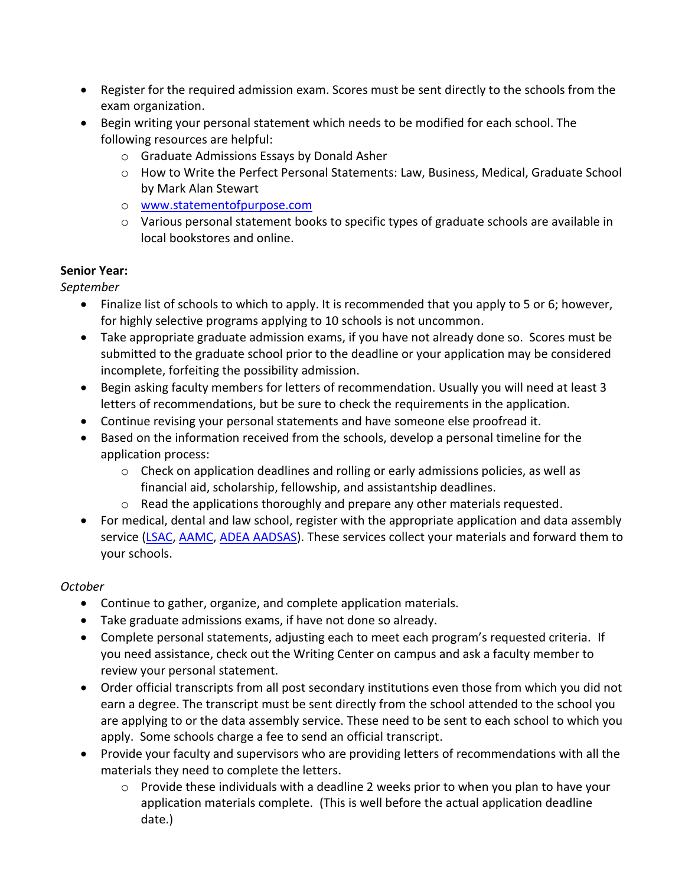- Register for the required admission exam. Scores must be sent directly to the schools from the exam organization.
- Begin writing your personal statement which needs to be modified for each school. The following resources are helpful:
	- o Graduate Admissions Essays by Donald Asher
	- o How to Write the Perfect Personal Statements: Law, Business, Medical, Graduate School by Mark Alan Stewart
	- o [www.statementofpurpose.com](http://www.statementofpurpose.com/)
	- o Various personal statement books to specific types of graduate schools are available in local bookstores and online.

## **Senior Year:**

*September*

- Finalize list of schools to which to apply. It is recommended that you apply to 5 or 6; however, for highly selective programs applying to 10 schools is not uncommon.
- Take appropriate graduate admission exams, if you have not already done so. Scores must be submitted to the graduate school prior to the deadline or your application may be considered incomplete, forfeiting the possibility admission.
- Begin asking faculty members for letters of recommendation. Usually you will need at least 3 letters of recommendations, but be sure to check the requirements in the application.
- Continue revising your personal statements and have someone else proofread it.
- Based on the information received from the schools, develop a personal timeline for the application process:
	- $\circ$  Check on application deadlines and rolling or early admissions policies, as well as financial aid, scholarship, fellowship, and assistantship deadlines.
	- o Read the applications thoroughly and prepare any other materials requested.
- For medical, dental and law school, register with the appropriate application and data assembly service [\(LSAC,](http://www.lsac.org/) [AAMC,](https://www.aamc.org/students/applying/) [ADEA AADSAS\)](http://www.adea.org/dental_education_pathways/aadsas/Pages/default.aspx). These services collect your materials and forward them to your schools.

# *October*

- Continue to gather, organize, and complete application materials.
- Take graduate admissions exams, if have not done so already.
- Complete personal statements, adjusting each to meet each program's requested criteria. If you need assistance, check out the Writing Center on campus and ask a faculty member to review your personal statement.
- Order official transcripts from all post secondary institutions even those from which you did not earn a degree. The transcript must be sent directly from the school attended to the school you are applying to or the data assembly service. These need to be sent to each school to which you apply. Some schools charge a fee to send an official transcript.
- Provide your faculty and supervisors who are providing letters of recommendations with all the materials they need to complete the letters.
	- o Provide these individuals with a deadline 2 weeks prior to when you plan to have your application materials complete. (This is well before the actual application deadline date.)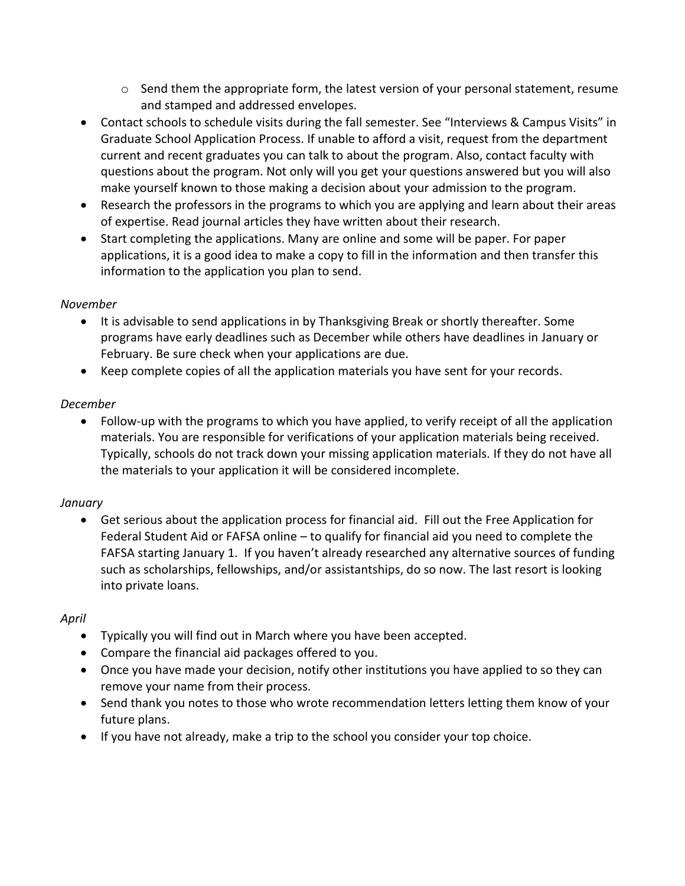- $\circ$  Send them the appropriate form, the latest version of your personal statement, resume and stamped and addressed envelopes.
- Contact schools to schedule visits during the fall semester. See "Interviews & Campus Visits" in Graduate School Application Process. If unable to afford a visit, request from the department current and recent graduates you can talk to about the program. Also, contact faculty with questions about the program. Not only will you get your questions answered but you will also make yourself known to those making a decision about your admission to the program.
- Research the professors in the programs to which you are applying and learn about their areas of expertise. Read journal articles they have written about their research.
- Start completing the applications. Many are online and some will be paper. For paper applications, it is a good idea to make a copy to fill in the information and then transfer this information to the application you plan to send.

## *November*

- It is advisable to send applications in by Thanksgiving Break or shortly thereafter. Some programs have early deadlines such as December while others have deadlines in January or February. Be sure check when your applications are due.
- Keep complete copies of all the application materials you have sent for your records.

## *December*

 Follow-up with the programs to which you have applied, to verify receipt of all the application materials. You are responsible for verifications of your application materials being received. Typically, schools do not track down your missing application materials. If they do not have all the materials to your application it will be considered incomplete.

## *January*

 Get serious about the application process for financial aid. Fill out the Free Application for Federal Student Aid or FAFSA online – to qualify for financial aid you need to complete the FAFSA starting January 1. If you haven't already researched any alternative sources of funding such as scholarships, fellowships, and/or assistantships, do so now. The last resort is looking into private loans.

# *April*

- Typically you will find out in March where you have been accepted.
- Compare the financial aid packages offered to you.
- Once you have made your decision, notify other institutions you have applied to so they can remove your name from their process.
- Send thank you notes to those who wrote recommendation letters letting them know of your future plans.
- If you have not already, make a trip to the school you consider your top choice.